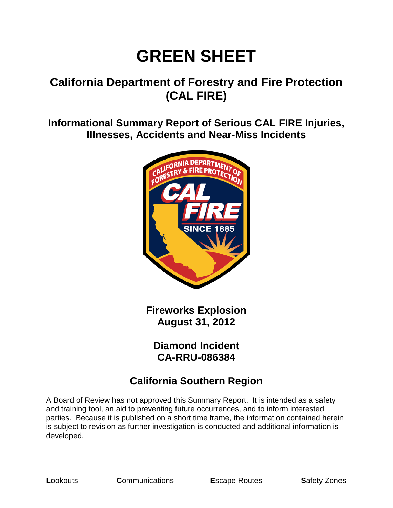# **GREEN SHEET**

#### **California Department of Forestry and Fire Protection (CAL FIRE)**

**Informational Summary Report of Serious CAL FIRE Injuries, Illnesses, Accidents and Near-Miss Incidents**



**Fireworks Explosion August 31, 2012**

**Diamond Incident CA-RRU-086384**

#### **California Southern Region**

A Board of Review has not approved this Summary Report. It is intended as a safety and training tool, an aid to preventing future occurrences, and to inform interested parties. Because it is published on a short time frame, the information contained herein is subject to revision as further investigation is conducted and additional information is developed.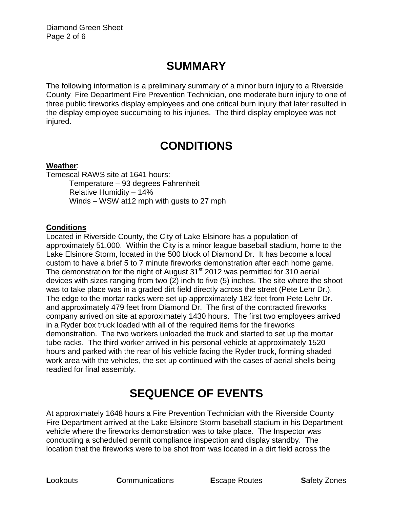# **SUMMARY**

The following information is a preliminary summary of a minor burn injury to a Riverside County Fire Department Fire Prevention Technician, one moderate burn injury to one of three public fireworks display employees and one critical burn injury that later resulted in the display employee succumbing to his injuries. The third display employee was not injured.

# **CONDITIONS**

#### **Weather**:

Temescal RAWS site at 1641 hours: Temperature – 93 degrees Fahrenheit Relative Humidity – 14% Winds – WSW at12 mph with gusts to 27 mph

#### **Conditions**

Located in Riverside County, the City of Lake Elsinore has a population of approximately 51,000. Within the City is a minor league baseball stadium, home to the Lake Elsinore Storm, located in the 500 block of Diamond Dr. It has become a local custom to have a brief 5 to 7 minute fireworks demonstration after each home game. The demonstration for the night of August  $31<sup>st</sup>$  2012 was permitted for 310 aerial devices with sizes ranging from two (2) inch to five (5) inches. The site where the shoot was to take place was in a graded dirt field directly across the street (Pete Lehr Dr.). The edge to the mortar racks were set up approximately 182 feet from Pete Lehr Dr. and approximately 479 feet from Diamond Dr. The first of the contracted fireworks company arrived on site at approximately 1430 hours. The first two employees arrived in a Ryder box truck loaded with all of the required items for the fireworks demonstration. The two workers unloaded the truck and started to set up the mortar tube racks. The third worker arrived in his personal vehicle at approximately 1520 hours and parked with the rear of his vehicle facing the Ryder truck, forming shaded work area with the vehicles, the set up continued with the cases of aerial shells being readied for final assembly.

# **SEQUENCE OF EVENTS**

At approximately 1648 hours a Fire Prevention Technician with the Riverside County Fire Department arrived at the Lake Elsinore Storm baseball stadium in his Department vehicle where the fireworks demonstration was to take place. The Inspector was conducting a scheduled permit compliance inspection and display standby. The location that the fireworks were to be shot from was located in a dirt field across the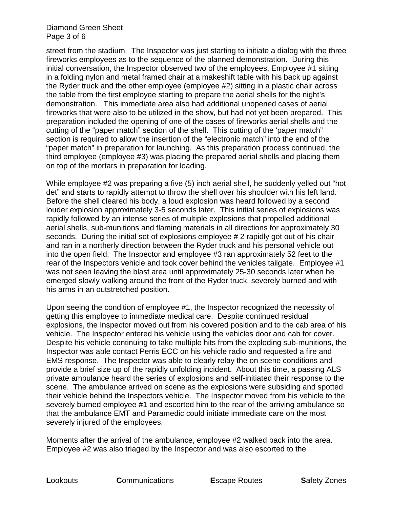#### Diamond Green Sheet Page 3 of 6

street from the stadium. The Inspector was just starting to initiate a dialog with the three fireworks employees as to the sequence of the planned demonstration. During this initial conversation, the Inspector observed two of the employees, Employee #1 sitting in a folding nylon and metal framed chair at a makeshift table with his back up against the Ryder truck and the other employee (employee #2) sitting in a plastic chair across the table from the first employee starting to prepare the aerial shells for the night's demonstration. This immediate area also had additional unopened cases of aerial fireworks that were also to be utilized in the show, but had not yet been prepared. This preparation included the opening of one of the cases of fireworks aerial shells and the cutting of the "paper match" section of the shell. This cutting of the 'paper match" section is required to allow the insertion of the "electronic match" into the end of the "paper match" in preparation for launching. As this preparation process continued, the third employee (employee #3) was placing the prepared aerial shells and placing them on top of the mortars in preparation for loading.

While employee #2 was preparing a five (5) inch aerial shell, he suddenly yelled out "hot det" and starts to rapidly attempt to throw the shell over his shoulder with his left land. Before the shell cleared his body, a loud explosion was heard followed by a second louder explosion approximately 3-5 seconds later. This initial series of explosions was rapidly followed by an intense series of multiple explosions that propelled additional aerial shells, sub-munitions and flaming materials in all directions for approximately 30 seconds. During the initial set of explosions employee # 2 rapidly got out of his chair and ran in a northerly direction between the Ryder truck and his personal vehicle out into the open field. The Inspector and employee #3 ran approximately 52 feet to the rear of the Inspectors vehicle and took cover behind the vehicles tailgate. Employee #1 was not seen leaving the blast area until approximately 25-30 seconds later when he emerged slowly walking around the front of the Ryder truck, severely burned and with his arms in an outstretched position.

Upon seeing the condition of employee #1, the Inspector recognized the necessity of getting this employee to immediate medical care. Despite continued residual explosions, the Inspector moved out from his covered position and to the cab area of his vehicle. The Inspector entered his vehicle using the vehicles door and cab for cover. Despite his vehicle continuing to take multiple hits from the exploding sub-munitions, the Inspector was able contact Perris ECC on his vehicle radio and requested a fire and EMS response. The Inspector was able to clearly relay the on scene conditions and provide a brief size up of the rapidly unfolding incident. About this time, a passing ALS private ambulance heard the series of explosions and self-initiated their response to the scene. The ambulance arrived on scene as the explosions were subsiding and spotted their vehicle behind the Inspectors vehicle. The Inspector moved from his vehicle to the severely burned employee #1 and escorted him to the rear of the arriving ambulance so that the ambulance EMT and Paramedic could initiate immediate care on the most severely injured of the employees.

Moments after the arrival of the ambulance, employee #2 walked back into the area. Employee #2 was also triaged by the Inspector and was also escorted to the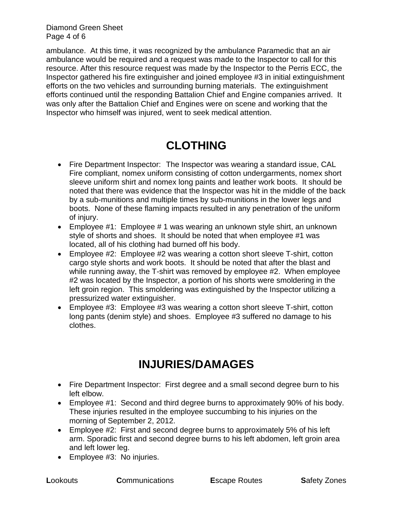Diamond Green Sheet Page 4 of 6

ambulance. At this time, it was recognized by the ambulance Paramedic that an air ambulance would be required and a request was made to the Inspector to call for this resource. After this resource request was made by the Inspector to the Perris ECC, the Inspector gathered his fire extinguisher and joined employee #3 in initial extinguishment efforts on the two vehicles and surrounding burning materials. The extinguishment efforts continued until the responding Battalion Chief and Engine companies arrived. It was only after the Battalion Chief and Engines were on scene and working that the Inspector who himself was injured, went to seek medical attention.

#### **CLOTHING**

- Fire Department Inspector: The Inspector was wearing a standard issue, CAL Fire compliant, nomex uniform consisting of cotton undergarments, nomex short sleeve uniform shirt and nomex long paints and leather work boots. It should be noted that there was evidence that the Inspector was hit in the middle of the back by a sub-munitions and multiple times by sub-munitions in the lower legs and boots. None of these flaming impacts resulted in any penetration of the uniform of injury.
- Employee #1: Employee # 1 was wearing an unknown style shirt, an unknown style of shorts and shoes. It should be noted that when employee #1 was located, all of his clothing had burned off his body.
- Employee #2: Employee #2 was wearing a cotton short sleeve T-shirt, cotton cargo style shorts and work boots. It should be noted that after the blast and while running away, the T-shirt was removed by employee #2. When employee #2 was located by the Inspector, a portion of his shorts were smoldering in the left groin region. This smoldering was extinguished by the Inspector utilizing a pressurized water extinguisher.
- Employee #3: Employee #3 was wearing a cotton short sleeve T-shirt, cotton long pants (denim style) and shoes. Employee #3 suffered no damage to his clothes.

### **INJURIES/DAMAGES**

- Fire Department Inspector: First degree and a small second degree burn to his left elbow.
- Employee #1: Second and third degree burns to approximately 90% of his body. These injuries resulted in the employee succumbing to his injuries on the morning of September 2, 2012.
- Employee #2: First and second degree burns to approximately 5% of his left arm. Sporadic first and second degree burns to his left abdomen, left groin area and left lower leg.
- Employee #3: No injuries.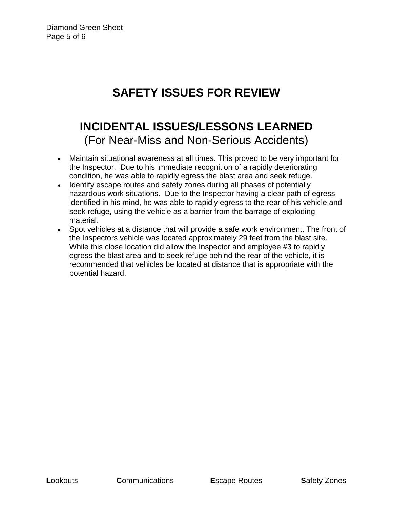# **SAFETY ISSUES FOR REVIEW**

### **INCIDENTAL ISSUES/LESSONS LEARNED** (For Near-Miss and Non-Serious Accidents)

- Maintain situational awareness at all times. This proved to be very important for the Inspector. Due to his immediate recognition of a rapidly deteriorating condition, he was able to rapidly egress the blast area and seek refuge.
- Identify escape routes and safety zones during all phases of potentially hazardous work situations. Due to the Inspector having a clear path of egress identified in his mind, he was able to rapidly egress to the rear of his vehicle and seek refuge, using the vehicle as a barrier from the barrage of exploding material.
- Spot vehicles at a distance that will provide a safe work environment. The front of the Inspectors vehicle was located approximately 29 feet from the blast site. While this close location did allow the Inspector and employee #3 to rapidly egress the blast area and to seek refuge behind the rear of the vehicle, it is recommended that vehicles be located at distance that is appropriate with the potential hazard.